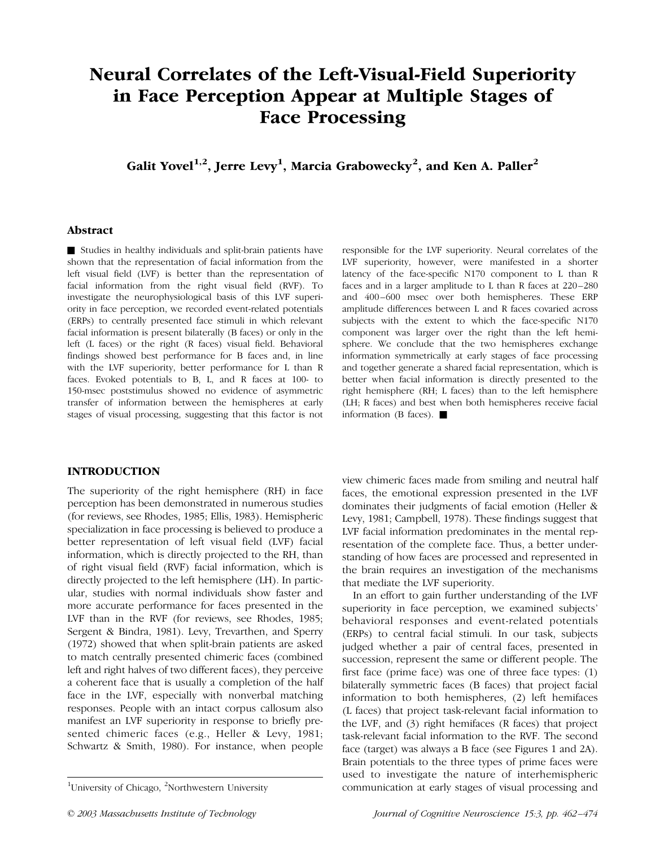# Neural Correlates of the Left-Visual-Field Superiority in Face Perception Appear at Multiple Stages of Face Processing

Galit Yovel $^{1,2}$ , Jerre Levy $^1$ , Marcia Grabowecky $^2$ , and Ken A. Paller $^2$ 

## Abstract

& Studies in healthy individuals and split-brain patients have shown that the representation of facial information from the left visual field (LVF) is better than the representation of facial information from the right visual field (RVF). To investigate the neurophysiological basis of this LVF superiority in face perception, we recorded event-related potentials (ERPs) to centrally presented face stimuli in which relevant facial information is present bilaterally (B faces) or only in the left (L faces) or the right (R faces) visual field. Behavioral findings showed best performance for B faces and, in line with the LVF superiority, better performance for L than R faces. Evoked potentials to B, L, and R faces at 100- to 150-msec poststimulus showed no evidence of asymmetric transfer of information between the hemispheres at early stages of visual processing, suggesting that this factor is not responsible for the LVF superiority. Neural correlates of the LVF superiority, however, were manifested in a shorter latency of the face-specific N170 component to L than R faces and in a larger amplitude to L than R faces at 220–280 and 400–600 msec over both hemispheres. These ERP amplitude differences between L and R faces covaried across subjects with the extent to which the face-specific N170 component was larger over the right than the left hemisphere. We conclude that the two hemispheres exchange information symmetrically at early stages of face processing and together generate a shared facial representation, which is better when facial information is directly presented to the right hemisphere (RH; L faces) than to the left hemisphere (LH; R faces) and best when both hemispheres receive facial information (B faces).  $\blacksquare$ 

#### INTRODUCTION

The superiority of the right hemisphere (RH) in face perception has been demonstrated in numerous studies (for reviews, see Rhodes, 1985; Ellis, 1983). Hemispheric specialization in face processing is believed to produce a better representation of left visual field (LVF) facial information, which is directly projected to the RH, than of right visual field (RVF) facial information, which is directly projected to the left hemisphere (LH). In particular, studies with normal individuals show faster and more accurate performance for faces presented in the LVF than in the RVF (for reviews, see Rhodes, 1985; Sergent & Bindra, 1981). Levy, Trevarthen, and Sperry (1972) showed that when split-brain patients are asked to match centrally presented chimeric faces (combined left and right halves of two different faces), they perceive a coherent face that is usually a completion of the half face in the LVF, especially with nonverbal matching responses. People with an intact corpus callosum also manifest an LVF superiority in response to briefly presented chimeric faces (e.g., Heller & Levy, 1981; Schwartz & Smith, 1980). For instance, when people

view chimeric faces made from smiling and neutral half faces, the emotional expression presented in the LVF dominates their judgments of facial emotion (Heller & Levy, 1981; Campbell, 1978). These findings suggest that LVF facial information predominates in the mental representation of the complete face. Thus, a better understanding of how faces are processed and represented in the brain requires an investigation of the mechanisms that mediate the LVF superiority.

In an effort to gain further understanding of the LVF superiority in face perception, we examined subjects' behavioral responses and event-related potentials (ERPs) to central facial stimuli. In our task, subjects judged whether a pair of central faces, presented in succession, represent the same or different people. The first face (prime face) was one of three face types: (1) bilaterally symmetric faces (B faces) that project facial information to both hemispheres, (2) left hemifaces (L faces) that project task-relevant facial information to the LVF, and (3) right hemifaces (R faces) that project task-relevant facial information to the RVF. The second face (target) was always a B face (see Figures 1 and 2A). Brain potentials to the three types of prime faces were used to investigate the nature of interhemispheric communication at early stages of visual processing and <sup>1</sup>

University of Chicago, <sup>2</sup>Northwestern University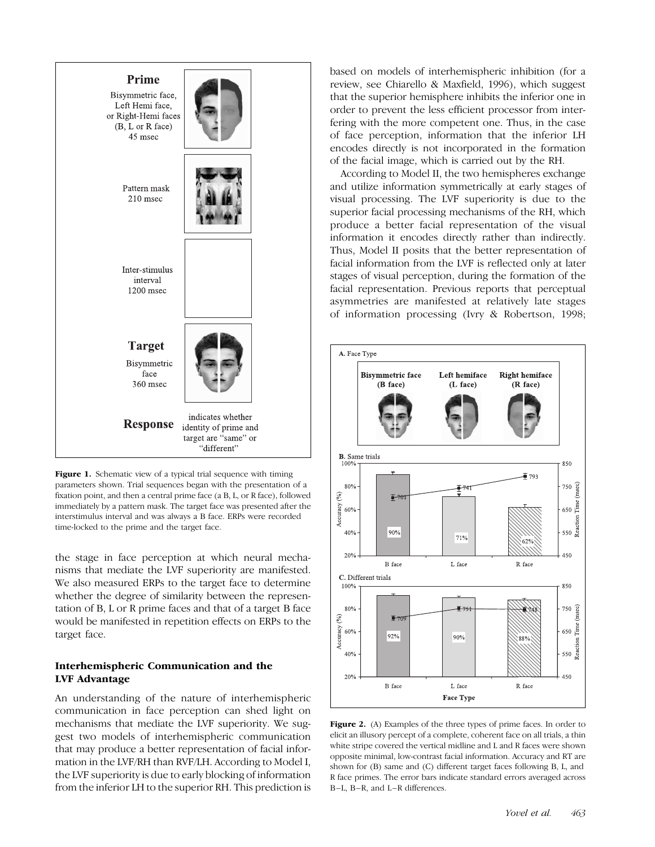

Figure 1. Schematic view of a typical trial sequence with timing parameters shown. Trial sequences began with the presentation of a fixation point, and then a central prime face (a B, L, or R face), followed immediately by a pattern mask. The target face was presented after the interstimulus interval and was always a B face. ERPs were recorded time-locked to the prime and the target face.

the stage in face perception at which neural mechanisms that mediate the LVF superiority are manifested. We also measured ERPs to the target face to determine whether the degree of similarity between the representation of B, L or R prime faces and that of a target B face would be manifested in repetition effects on ERPs to the target face.

# Interhemispheric Communication and the LVF Advantage

An understanding of the nature of interhemispheric communication in face perception can shed light on mechanisms that mediate the LVF superiority. We suggest two models of interhemispheric communication that may produce a better representation of facial information in the LVF/RH than RVF/LH. According to Model I, the LVF superiority is due to early blocking of information from the inferior LH to the superior RH. This prediction is based on models of interhemispheric inhibition (for a review, see Chiarello & Maxfield, 1996), which suggest that the superior hemisphere inhibits the inferior one in order to prevent the less efficient processor from interfering with the more competent one. Thus, in the case of face perception, information that the inferior LH encodes directly is not incorporated in the formation of the facial image, which is carried out by the RH.

According to Model II, the two hemispheres exchange and utilize information symmetrically at early stages of visual processing. The LVF superiority is due to the superior facial processing mechanisms of the RH, which produce a better facial representation of the visual information it encodes directly rather than indirectly. Thus, Model II posits that the better representation of facial information from the LVF is reflected only at later stages of visual perception, during the formation of the facial representation. Previous reports that perceptual asymmetries are manifested at relatively late stages of information processing (Ivry & Robertson, 1998;



Figure 2. (A) Examples of the three types of prime faces. In order to elicit an illusory percept of a complete, coherent face on all trials, a thin white stripe covered the vertical midline and L and R faces were shown opposite minimal, low-contrast facial information. Accuracy and RT are shown for (B) same and (C) different target faces following B, L, and R face primes. The error bars indicate standard errors averaged across B-L, B-R, and L-R differences.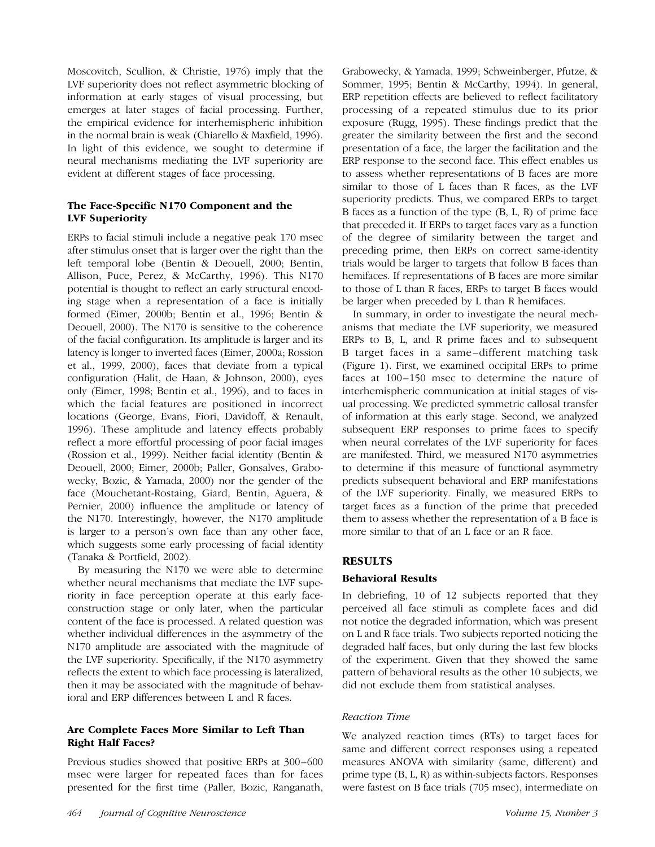Moscovitch, Scullion, & Christie, 1976) imply that the LVF superiority does not reflect asymmetric blocking of information at early stages of visual processing, but emerges at later stages of facial processing. Further, the empirical evidence for interhemispheric inhibition in the normal brain is weak (Chiarello & Maxfield, 1996). In light of this evidence, we sought to determine if neural mechanisms mediating the LVF superiority are evident at different stages of face processing.

# The Face-Specific N170 Component and the LVF Superiority

ERPs to facial stimuli include a negative peak 170 msec after stimulus onset that is larger over the right than the left temporal lobe (Bentin & Deouell, 2000; Bentin, Allison, Puce, Perez, & McCarthy, 1996). This N170 potential is thought to reflect an early structural encoding stage when a representation of a face is initially formed (Eimer, 2000b; Bentin et al., 1996; Bentin & Deouell, 2000). The N170 is sensitive to the coherence of the facial configuration. Its amplitude is larger and its latency is longer to inverted faces (Eimer, 2000a; Rossion et al., 1999, 2000), faces that deviate from a typical configuration (Halit, de Haan, & Johnson, 2000), eyes only (Eimer, 1998; Bentin et al., 1996), and to faces in which the facial features are positioned in incorrect locations (George, Evans, Fiori, Davidoff, & Renault, 1996). These amplitude and latency effects probably reflect a more effortful processing of poor facial images (Rossion et al., 1999). Neither facial identity (Bentin & Deouell, 2000; Eimer, 2000b; Paller, Gonsalves, Grabowecky, Bozic, & Yamada, 2000) nor the gender of the face (Mouchetant-Rostaing, Giard, Bentin, Aguera, & Pernier, 2000) influence the amplitude or latency of the N170. Interestingly, however, the N170 amplitude is larger to a person's own face than any other face, which suggests some early processing of facial identity (Tanaka & Portfield, 2002).

By measuring the N170 we were able to determine whether neural mechanisms that mediate the LVF superiority in face perception operate at this early faceconstruction stage or only later, when the particular content of the face is processed. A related question was whether individual differences in the asymmetry of the N170 amplitude are associated with the magnitude of the LVF superiority. Specifically, if the N170 asymmetry reflects the extent to which face processing is lateralized, then it may be associated with the magnitude of behavioral and ERP differences between L and R faces.

# Are Complete Faces More Similar to Left Than Right Half Faces?

Previous studies showed that positive ERPs at 300–600 msec were larger for repeated faces than for faces presented for the first time (Paller, Bozic, Ranganath,

Grabowecky, & Yamada, 1999; Schweinberger, Pfutze, & Sommer, 1995; Bentin & McCarthy, 1994). In general, ERP repetition effects are believed to reflect facilitatory processing of a repeated stimulus due to its prior exposure (Rugg, 1995). These findings predict that the greater the similarity between the first and the second presentation of a face, the larger the facilitation and the ERP response to the second face. This effect enables us to assess whether representations of B faces are more similar to those of L faces than R faces, as the LVF superiority predicts. Thus, we compared ERPs to target B faces as a function of the type (B, L, R) of prime face that preceded it. If ERPs to target faces vary as a function of the degree of similarity between the target and preceding prime, then ERPs on correct same-identity trials would be larger to targets that follow B faces than hemifaces. If representations of B faces are more similar to those of L than R faces, ERPs to target B faces would be larger when preceded by L than R hemifaces.

In summary, in order to investigate the neural mechanisms that mediate the LVF superiority, we measured ERPs to B, L, and R prime faces and to subsequent B target faces in a same–different matching task (Figure 1). First, we examined occipital ERPs to prime faces at 100–150 msec to determine the nature of interhemispheric communication at initial stages of visual processing. We predicted symmetric callosal transfer of information at this early stage. Second, we analyzed subsequent ERP responses to prime faces to specify when neural correlates of the LVF superiority for faces are manifested. Third, we measured N170 asymmetries to determine if this measure of functional asymmetry predicts subsequent behavioral and ERP manifestations of the LVF superiority. Finally, we measured ERPs to target faces as a function of the prime that preceded them to assess whether the representation of a B face is more similar to that of an L face or an R face.

# RESULTS

# Behavioral Results

In debriefing, 10 of 12 subjects reported that they perceived all face stimuli as complete faces and did not notice the degraded information, which was present on L and R face trials. Two subjects reported noticing the degraded half faces, but only during the last few blocks of the experiment. Given that they showed the same pattern of behavioral results as the other 10 subjects, we did not exclude them from statistical analyses.

# Reaction Time

We analyzed reaction times (RTs) to target faces for same and different correct responses using a repeated measures ANOVA with similarity (same, different) and prime type (B, L, R) as within-subjects factors. Responses were fastest on B face trials (705 msec), intermediate on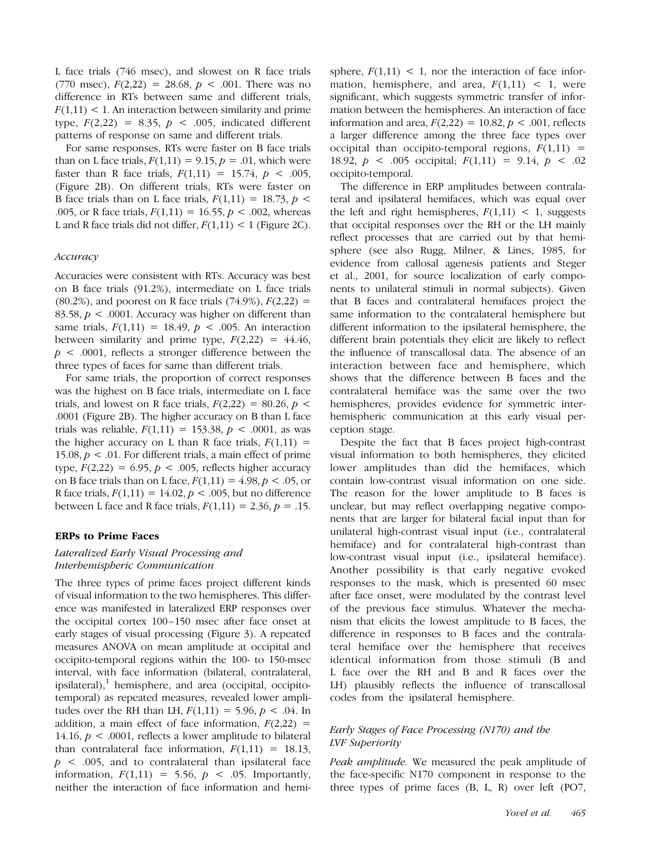L face trials (746 msec), and slowest on R face trials (770 msec),  $F(2,22) = 28.68, p < .001$ . There was no difference in RTs between same and different trials,  $F(1,11)$  < 1. An interaction between similarity and prime type,  $F(2,22) = 8.35$ ,  $p < .005$ , indicated different patterns of response on same and different trials.

For same responses, RTs were faster on B face trials than on L face trials,  $F(1,11) = 9.15$ ,  $p = .01$ , which were faster than R face trials,  $F(1,11) = 15.74, p < .005$ , (Figure 2B). On different trials, RTs were faster on B face trials than on L face trials,  $F(1,11) = 18.73$ ,  $p <$ .005, or R face trials,  $F(1,11) = 16.55, p < .002$ , whereas L and R face trials did not differ,  $F(1,11) < 1$  (Figure 2C).

#### **Accuracy**

Accuracies were consistent with RTs. Accuracy was best on B face trials (91.2%), intermediate on L face trials  $(80.2\%)$ , and poorest on R face trials  $(74.9\%)$ ,  $F(2,22)$  = 83.58,  $p < .0001$ . Accuracy was higher on different than same trials,  $F(1,11) = 18.49$ ,  $p < .005$ . An interaction between similarity and prime type,  $F(2,22) = 44.46$ ,  $p \leq 0.0001$ , reflects a stronger difference between the three types of faces for same than different trials.

For same trials, the proportion of correct responses was the highest on B face trials, intermediate on L face trials, and lowest on R face trials,  $F(2,22) = 80.26$ ,  $p \le$ .0001 (Figure 2B). The higher accuracy on B than L face trials was reliable,  $F(1,11) = 153.38, p < .0001$ , as was the higher accuracy on L than R face trials,  $F(1,11) =$ 15.08,  $p < 0.01$ . For different trials, a main effect of prime type,  $F(2,22) = 6.95$ ,  $p < .005$ , reflects higher accuracy on B face trials than on L face,  $F(1,11) = 4.98$ ,  $p < .05$ , or R face trials,  $F(1,11) = 14.02$ ,  $p < .005$ , but no difference between L face and R face trials,  $F(1,11) = 2.36$ ,  $p = .15$ .

#### ERPs to Prime Faces

## Lateralized Early Visual Processing and Interhemispheric Communication

The three types of prime faces project different kinds of visual information to the two hemispheres. This difference was manifested in lateralized ERP responses over the occipital cortex 100–150 msec after face onset at early stages of visual processing (Figure 3). A repeated measures ANOVA on mean amplitude at occipital and occipito-temporal regions within the 100- to 150-msec interval, with face information (bilateral, contralateral, ipsilateral), $<sup>1</sup>$  hemisphere, and area (occipital, occipito-</sup> temporal) as repeated measures, revealed lower amplitudes over the RH than LH,  $F(1,11) = 5.96, p < .04$ . In addition, a main effect of face information,  $F(2,22) =$ 14.16,  $p < .0001$ , reflects a lower amplitude to bilateral than contralateral face information,  $F(1,11) = 18.13$ ,  $p \leq 0.005$ , and to contralateral than ipsilateral face information,  $F(1,11) = 5.56$ ,  $p < .05$ . Importantly, neither the interaction of face information and hemisphere,  $F(1,11)$  < 1, nor the interaction of face information, hemisphere, and area,  $F(1,11) < 1$ , were significant, which suggests symmetric transfer of information between the hemispheres. An interaction of face information and area,  $F(2,22) = 10.82$ ,  $p < .001$ , reflects a larger difference among the three face types over occipital than occipito-temporal regions,  $F(1,11) =$ 18.92,  $p \leq 0.005$  occipital;  $F(1,11) = 9.14$ ,  $p \leq 0.02$ occipito-temporal.

The difference in ERP amplitudes between contralateral and ipsilateral hemifaces, which was equal over the left and right hemispheres,  $F(1,11) < 1$ , suggests that occipital responses over the RH or the LH mainly reflect processes that are carried out by that hemisphere (see also Rugg, Milner, & Lines, 1985, for evidence from callosal agenesis patients and Steger et al., 2001, for source localization of early components to unilateral stimuli in normal subjects). Given that B faces and contralateral hemifaces project the same information to the contralateral hemisphere but different information to the ipsilateral hemisphere, the different brain potentials they elicit are likely to reflect the influence of transcallosal data. The absence of an interaction between face and hemisphere, which shows that the difference between B faces and the contralateral hemiface was the same over the two hemispheres, provides evidence for symmetric interhemispheric communication at this early visual perception stage.

Despite the fact that B faces project high-contrast visual information to both hemispheres, they elicited lower amplitudes than did the hemifaces, which contain low-contrast visual information on one side. The reason for the lower amplitude to B faces is unclear, but may reflect overlapping negative components that are larger for bilateral facial input than for unilateral high-contrast visual input (i.e., contralateral hemiface) and for contralateral high-contrast than low-contrast visual input (i.e., ipsilateral hemiface). Another possibility is that early negative evoked responses to the mask, which is presented 60 msec after face onset, were modulated by the contrast level of the previous face stimulus. Whatever the mechanism that elicits the lowest amplitude to B faces, the difference in responses to B faces and the contralateral hemiface over the hemisphere that receives identical information from those stimuli (B and L face over the RH and B and R faces over the LH) plausibly reflects the influence of transcallosal codes from the ipsilateral hemisphere.

## Early Stages of Face Processing (N170) and the LVF Superiority

Peak amplitude. We measured the peak amplitude of the face-specific N170 component in response to the three types of prime faces (B, L, R) over left (PO7,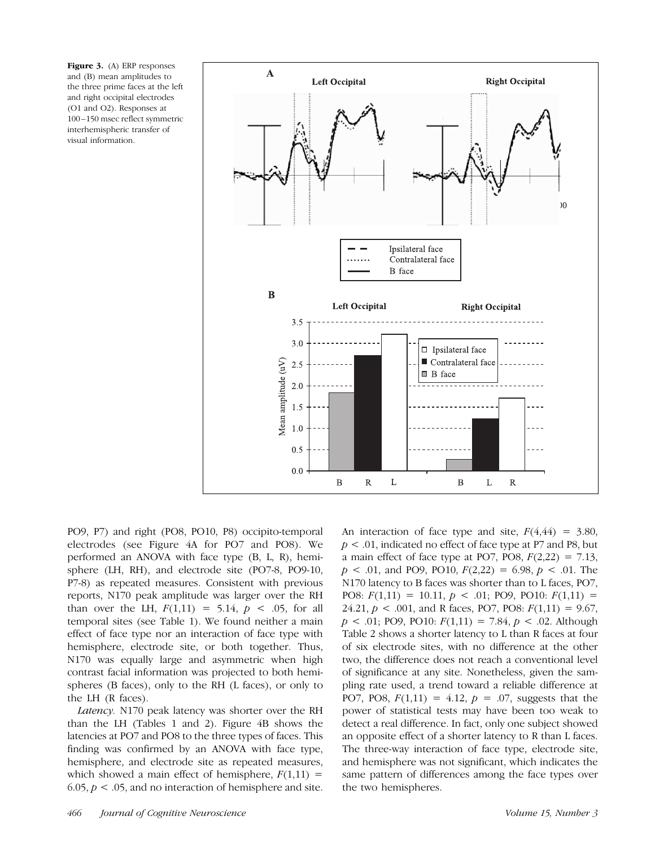Figure 3. (A) ERP responses and (B) mean amplitudes to the three prime faces at the left and right occipital electrodes (O1 and O2). Responses at 100–150 msec reflect symmetric interhemispheric transfer of visual information.



PO9, P7) and right (PO8, PO10, P8) occipito-temporal electrodes (see Figure 4A for PO7 and PO8). We performed an ANOVA with face type (B, L, R), hemisphere (LH, RH), and electrode site (PO7-8, PO9-10, P7-8) as repeated measures. Consistent with previous reports, N170 peak amplitude was larger over the RH than over the LH,  $F(1,11) = 5.14$ ,  $p < .05$ , for all temporal sites (see Table 1). We found neither a main effect of face type nor an interaction of face type with hemisphere, electrode site, or both together. Thus, N170 was equally large and asymmetric when high contrast facial information was projected to both hemispheres (B faces), only to the RH (L faces), or only to the LH (R faces).

Latency. N170 peak latency was shorter over the RH than the LH (Tables 1 and 2). Figure 4B shows the latencies at PO7 and PO8 to the three types of faces. This finding was confirmed by an ANOVA with face type, hemisphere, and electrode site as repeated measures, which showed a main effect of hemisphere,  $F(1,11) =$ 6.05,  $p < 0.05$ , and no interaction of hemisphere and site.

An interaction of face type and site,  $F(4,44) = 3.80$ ,  $p < .01$ , indicated no effect of face type at P7 and P8, but a main effect of face type at PO7, PO8,  $F(2,22) = 7.13$ ,  $p < .01$ , and PO9, PO10,  $F(2,22) = 6.98$ ,  $p < .01$ . The N170 latency to B faces was shorter than to L faces, PO7, PO8:  $F(1,11) = 10.11$ ,  $p < .01$ ; PO9, PO10:  $F(1,11) =$ 24.21,  $p < .001$ , and R faces, PO7, PO8:  $F(1,11) = 9.67$ ,  $p < .01$ ; PO9, PO10:  $F(1,11) = 7.84$ ,  $p < .02$ . Although Table 2 shows a shorter latency to L than R faces at four of six electrode sites, with no difference at the other two, the difference does not reach a conventional level of significance at any site. Nonetheless, given the sampling rate used, a trend toward a reliable difference at PO7, PO8,  $F(1,11) = 4.12$ ,  $p = .07$ , suggests that the power of statistical tests may have been too weak to detect a real difference. In fact, only one subject showed an opposite effect of a shorter latency to R than L faces. The three-way interaction of face type, electrode site, and hemisphere was not significant, which indicates the same pattern of differences among the face types over the two hemispheres.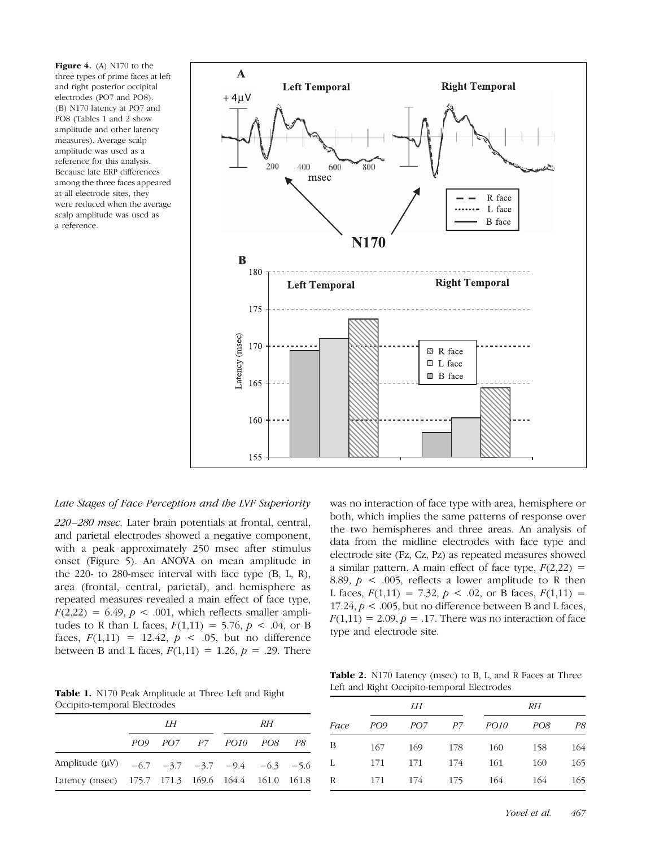Figure 4. (A) N170 to the three types of prime faces at left and right posterior occipital electrodes (PO7 and PO8). (B) N170 latency at PO7 and PO8 (Tables 1 and 2 show amplitude and other latency measures). Average scalp amplitude was used as a reference for this analysis. Because late ERP differences among the three faces appeared at all electrode sites, they were reduced when the average scalp amplitude was used as a reference.



Late Stages of Face Perception and the LVF Superiority

220–280 msec. Later brain potentials at frontal, central, and parietal electrodes showed a negative component, with a peak approximately 250 msec after stimulus onset (Figure 5). An ANOVA on mean amplitude in the 220- to 280-msec interval with face type (B, L, R), area (frontal, central, parietal), and hemisphere as repeated measures revealed a main effect of face type,  $F(2,22) = 6.49, p < .001$ , which reflects smaller amplitudes to R than L faces,  $F(1,11) = 5.76, p < .04$ , or B faces,  $F(1,11) = 12.42, p < .05$ , but no difference between B and L faces,  $F(1,11) = 1.26$ ,  $p = .29$ . There was no interaction of face type with area, hemisphere or both, which implies the same patterns of response over the two hemispheres and three areas. An analysis of data from the midline electrodes with face type and electrode site (Fz, Cz, Pz) as repeated measures showed a similar pattern. A main effect of face type,  $F(2,22) =$ 8.89,  $p \lt 0.005$ , reflects a lower amplitude to R then L faces,  $F(1,11) = 7.32, p < .02$ , or B faces,  $F(1,11) =$ 17.24,  $p < .005$ , but no difference between B and L faces,  $F(1,11) = 2.09, p = .17$ . There was no interaction of face type and electrode site.

Table 1. N170 Peak Amplitude at Three Left and Right Occipito-temporal Electrodes

|                                                                | LΗ |  |  | RH                     |  |  |
|----------------------------------------------------------------|----|--|--|------------------------|--|--|
|                                                                |    |  |  | PO9 PO7 P7 PO10 PO8 P8 |  |  |
| Amplitude ( $\mu$ V) $-6.7$ $-3.7$ $-3.7$ $-9.4$ $-6.3$ $-5.6$ |    |  |  |                        |  |  |
| Latency (msec) 175.7 171.3 169.6 164.4 161.0 161.8             |    |  |  |                        |  |  |

Table 2. N170 Latency (msec) to B, L, and R Faces at Three Left and Right Occipito-temporal Electrodes

|      | LΗ  |             |     | RH  |     |     |  |
|------|-----|-------------|-----|-----|-----|-----|--|
| Face | PO9 | PO7 P7 PO10 |     |     | PO8 | P8  |  |
| B    | 167 | 169         | 178 | 160 | 158 | 164 |  |
| L    | 171 | 171         | 174 | 161 | 160 | 165 |  |
| R    | 171 | 174         | 175 | 164 | 164 | 165 |  |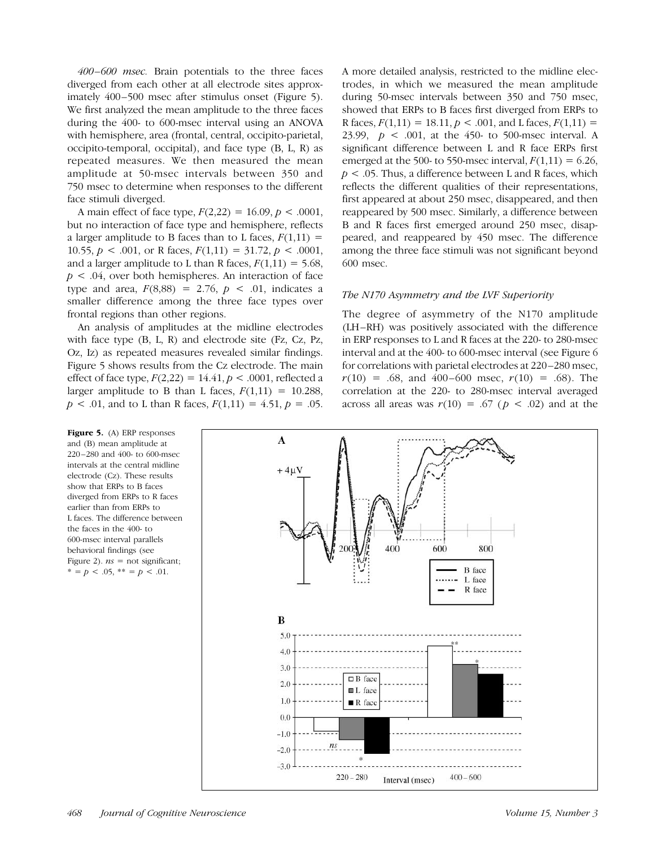400–600 msec. Brain potentials to the three faces diverged from each other at all electrode sites approximately 400–500 msec after stimulus onset (Figure 5). We first analyzed the mean amplitude to the three faces during the 400- to 600-msec interval using an ANOVA with hemisphere, area (frontal, central, occipito-parietal, occipito-temporal, occipital), and face type (B, L, R) as repeated measures. We then measured the mean amplitude at 50-msec intervals between 350 and 750 msec to determine when responses to the different face stimuli diverged.

A main effect of face type,  $F(2,22) = 16.09, p < .0001$ , but no interaction of face type and hemisphere, reflects a larger amplitude to B faces than to L faces,  $F(1,11) =$ 10.55,  $p < .001$ , or R faces,  $F(1,11) = 31.72$ ,  $p < .0001$ , and a larger amplitude to L than R faces,  $F(1,11) = 5.68$ ,  $p < .04$ , over both hemispheres. An interaction of face type and area,  $F(8,88) = 2.76$ ,  $p < .01$ , indicates a smaller difference among the three face types over frontal regions than other regions.

An analysis of amplitudes at the midline electrodes with face type (B, L, R) and electrode site (Fz, Cz, Pz, Oz, Iz) as repeated measures revealed similar findings. Figure 5 shows results from the Cz electrode. The main effect of face type,  $F(2,22) = 14.41, p < .0001$ , reflected a larger amplitude to B than L faces,  $F(1,11) = 10.288$ ,  $p < .01$ , and to L than R faces,  $F(1,11) = 4.51$ ,  $p = .05$ .

A more detailed analysis, restricted to the midline electrodes, in which we measured the mean amplitude during 50-msec intervals between 350 and 750 msec, showed that ERPs to B faces first diverged from ERPs to R faces,  $F(1,11) = 18.11, p < .001$ , and L faces,  $F(1,11) =$ 23.99,  $p \le 0.001$ , at the 450- to 500-msec interval. A significant difference between L and R face ERPs first emerged at the 500- to 550-msec interval,  $F(1,11) = 6.26$ ,  $p < .05$ . Thus, a difference between L and R faces, which reflects the different qualities of their representations, first appeared at about 250 msec, disappeared, and then reappeared by 500 msec. Similarly, a difference between B and R faces first emerged around 250 msec, disappeared, and reappeared by 450 msec. The difference among the three face stimuli was not significant beyond 600 msec.

#### The N170 Asymmetry and the LVF Superiority

The degree of asymmetry of the N170 amplitude (LH–RH) was positively associated with the difference in ERP responses to L and R faces at the 220- to 280-msec interval and at the 400- to 600-msec interval (see Figure 6 for correlations with parietal electrodes at 220–280 msec,  $r(10) = .68$ , and  $400-600$  msec,  $r(10) = .68$ ). The correlation at the 220- to 280-msec interval averaged across all areas was  $r(10) = .67$  ( $p < .02$ ) and at the



Figure 5. (A) ERP responses and (B) mean amplitude at 220–280 and 400- to 600-msec intervals at the central midline electrode (Cz). These results show that ERPs to B faces diverged from ERPs to R faces earlier than from ERPs to L faces. The difference between the faces in the 400- to 600-msec interval parallels behavioral findings (see Figure 2).  $ns = not significant;$  $* = p < .05, ** = p < .01.$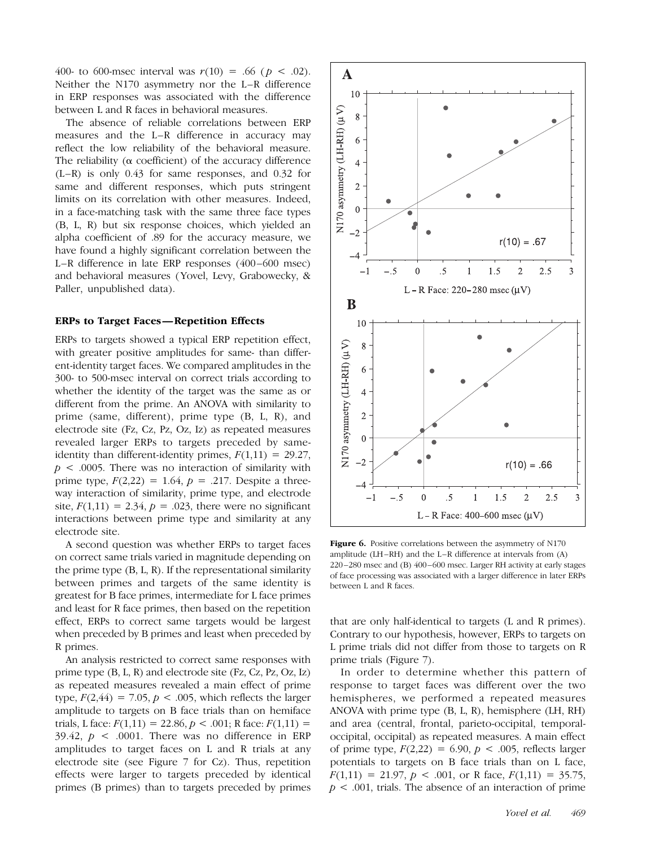400- to 600-msec interval was  $r(10) = .66$  ( $p < .02$ ). Neither the N170 asymmetry nor the L–R difference in ERP responses was associated with the difference between L and R faces in behavioral measures.

The absence of reliable correlations between ERP measures and the L–R difference in accuracy may reflect the low reliability of the behavioral measure. The reliability ( $\alpha$  coefficient) of the accuracy difference (L–R) is only 0.43 for same responses, and 0.32 for same and different responses, which puts stringent limits on its correlation with other measures. Indeed, in a face-matching task with the same three face types (B, L, R) but six response choices, which yielded an alpha coefficient of .89 for the accuracy measure, we have found a highly significant correlation between the L–R difference in late ERP responses (400–600 msec) and behavioral measures ( Yovel, Levy, Grabowecky, & Paller, unpublished data).

#### ERPs to Target Faces—Repetition Effects

ERPs to targets showed a typical ERP repetition effect, with greater positive amplitudes for same- than different-identity target faces. We compared amplitudes in the 300- to 500-msec interval on correct trials according to whether the identity of the target was the same as or different from the prime. An ANOVA with similarity to prime (same, different), prime type (B, L, R), and electrode site (Fz, Cz, Pz, Oz, Iz) as repeated measures revealed larger ERPs to targets preceded by sameidentity than different-identity primes,  $F(1,11) = 29.27$ ,  $p < .0005$ . There was no interaction of similarity with prime type,  $F(2,22) = 1.64$ ,  $p = .217$ . Despite a threeway interaction of similarity, prime type, and electrode site,  $F(1,11) = 2.34$ ,  $p = .023$ , there were no significant interactions between prime type and similarity at any electrode site.

A second question was whether ERPs to target faces on correct same trials varied in magnitude depending on the prime type (B, L, R). If the representational similarity between primes and targets of the same identity is greatest for B face primes, intermediate for L face primes and least for R face primes, then based on the repetition effect, ERPs to correct same targets would be largest when preceded by B primes and least when preceded by R primes.

An analysis restricted to correct same responses with prime type (B, L, R) and electrode site (Fz, Cz, Pz, Oz, Iz) as repeated measures revealed a main effect of prime type,  $F(2,44) = 7.05$ ,  $p < .005$ , which reflects the larger amplitude to targets on B face trials than on hemiface trials, L face:  $F(1,11) = 22.86, p < .001$ ; R face:  $F(1,11) =$ 39.42,  $p \le 0.0001$ . There was no difference in ERP amplitudes to target faces on L and R trials at any electrode site (see Figure 7 for Cz). Thus, repetition effects were larger to targets preceded by identical primes (B primes) than to targets preceded by primes



Figure 6. Positive correlations between the asymmetry of N170 amplitude (LH –RH) and the L–R difference at intervals from (A) 220–280 msec and (B) 400–600 msec. Larger RH activity at early stages of face processing was associated with a larger difference in later ERPs between L and R faces.

that are only half-identical to targets (L and R primes). Contrary to our hypothesis, however, ERPs to targets on L prime trials did not differ from those to targets on R prime trials (Figure 7).

In order to determine whether this pattern of response to target faces was different over the two hemispheres, we performed a repeated measures ANOVA with prime type (B, L, R), hemisphere (LH, RH) and area (central, frontal, parieto-occipital, temporaloccipital, occipital) as repeated measures. A main effect of prime type,  $F(2,22) = 6.90$ ,  $p < .005$ , reflects larger potentials to targets on B face trials than on L face,  $F(1,11) = 21.97, p < .001$ , or R face,  $F(1,11) = 35.75$ ,  $p < .001$ , trials. The absence of an interaction of prime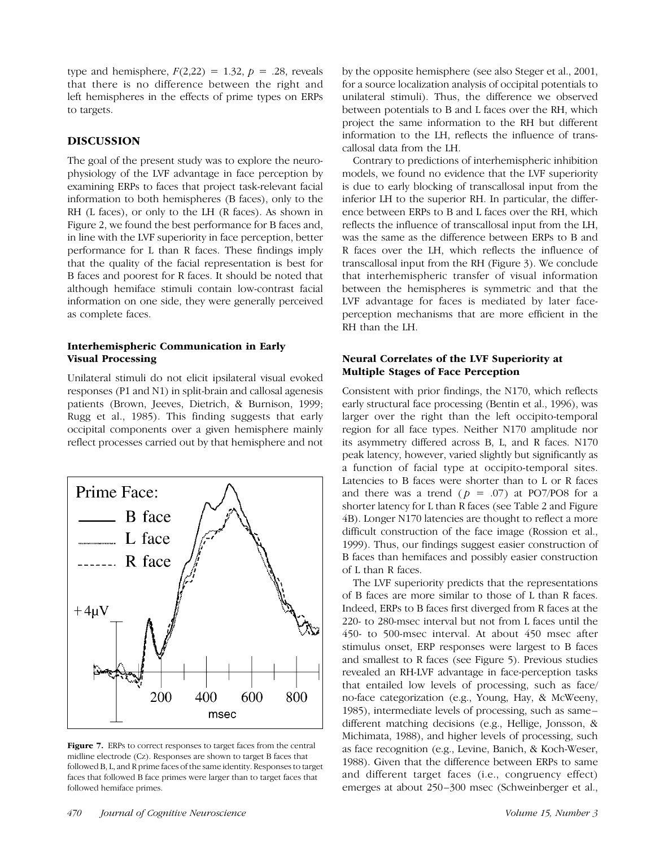type and hemisphere,  $F(2,22) = 1.32$ ,  $p = .28$ , reveals that there is no difference between the right and left hemispheres in the effects of prime types on ERPs to targets.

# DISCUSSION

The goal of the present study was to explore the neurophysiology of the LVF advantage in face perception by examining ERPs to faces that project task-relevant facial information to both hemispheres (B faces), only to the RH (L faces), or only to the LH (R faces). As shown in Figure 2, we found the best performance for B faces and, in line with the LVF superiority in face perception, better performance for L than R faces. These findings imply that the quality of the facial representation is best for B faces and poorest for R faces. It should be noted that although hemiface stimuli contain low-contrast facial information on one side, they were generally perceived as complete faces.

# Interhemispheric Communication in Early Visual Processing

Unilateral stimuli do not elicit ipsilateral visual evoked responses (P1 and N1) in split-brain and callosal agenesis patients (Brown, Jeeves, Dietrich, & Burnison, 1999; Rugg et al., 1985). This finding suggests that early occipital components over a given hemisphere mainly reflect processes carried out by that hemisphere and not



Figure 7. ERPs to correct responses to target faces from the central midline electrode (Cz). Responses are shown to target B faces that followed B, L, and R prime faces of the same identity. Responses to target faces that followed B face primes were larger than to target faces that followed hemiface primes.

by the opposite hemisphere (see also Steger et al., 2001, for a source localization analysis of occipital potentials to unilateral stimuli). Thus, the difference we observed between potentials to B and L faces over the RH, which project the same information to the RH but different information to the LH, reflects the influence of transcallosal data from the LH.

Contrary to predictions of interhemispheric inhibition models, we found no evidence that the LVF superiority is due to early blocking of transcallosal input from the inferior LH to the superior RH. In particular, the difference between ERPs to B and L faces over the RH, which reflects the influence of transcallosal input from the LH, was the same as the difference between ERPs to B and R faces over the LH, which reflects the influence of transcallosal input from the RH (Figure 3). We conclude that interhemispheric transfer of visual information between the hemispheres is symmetric and that the LVF advantage for faces is mediated by later faceperception mechanisms that are more efficient in the RH than the LH.

# Neural Correlates of the LVF Superiority at Multiple Stages of Face Perception

Consistent with prior findings, the N170, which reflects early structural face processing (Bentin et al., 1996), was larger over the right than the left occipito-temporal region for all face types. Neither N170 amplitude nor its asymmetry differed across B, L, and R faces. N170 peak latency, however, varied slightly but significantly as a function of facial type at occipito-temporal sites. Latencies to B faces were shorter than to L or R faces and there was a trend ( $p = .07$ ) at PO7/PO8 for a shorter latency for L than R faces (see Table 2 and Figure 4B). Longer N170 latencies are thought to reflect a more difficult construction of the face image (Rossion et al., 1999). Thus, our findings suggest easier construction of B faces than hemifaces and possibly easier construction of L than R faces.

The LVF superiority predicts that the representations of B faces are more similar to those of L than R faces. Indeed, ERPs to B faces first diverged from R faces at the 220- to 280-msec interval but not from L faces until the 450- to 500-msec interval. At about 450 msec after stimulus onset, ERP responses were largest to B faces and smallest to R faces (see Figure 5). Previous studies revealed an RH-LVF advantage in face-perception tasks that entailed low levels of processing, such as face/ no-face categorization (e.g., Young, Hay, & McWeeny, 1985), intermediate levels of processing, such as same– different matching decisions (e.g., Hellige, Jonsson, & Michimata, 1988), and higher levels of processing, such as face recognition (e.g., Levine, Banich, & Koch-Weser, 1988). Given that the difference between ERPs to same and different target faces (i.e., congruency effect) emerges at about 250–300 msec (Schweinberger et al.,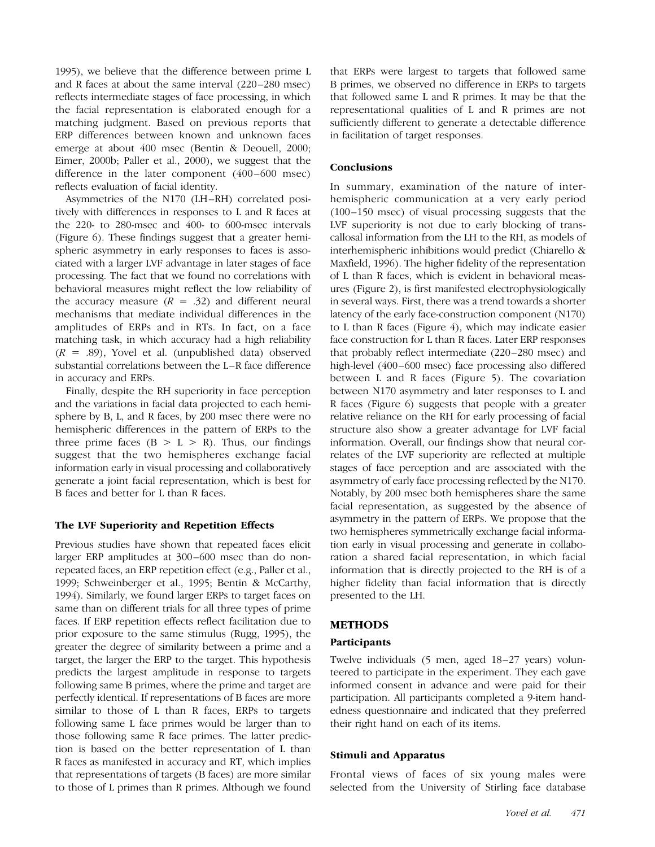1995), we believe that the difference between prime L and R faces at about the same interval (220–280 msec) reflects intermediate stages of face processing, in which the facial representation is elaborated enough for a matching judgment. Based on previous reports that ERP differences between known and unknown faces emerge at about 400 msec (Bentin & Deouell, 2000; Eimer, 2000b; Paller et al., 2000), we suggest that the difference in the later component (400–600 msec) reflects evaluation of facial identity.

Asymmetries of the N170 (LH–RH) correlated positively with differences in responses to L and R faces at the 220- to 280-msec and 400- to 600-msec intervals (Figure 6). These findings suggest that a greater hemispheric asymmetry in early responses to faces is associated with a larger LVF advantage in later stages of face processing. The fact that we found no correlations with behavioral measures might reflect the low reliability of the accuracy measure  $(R = .32)$  and different neural mechanisms that mediate individual differences in the amplitudes of ERPs and in RTs. In fact, on a face matching task, in which accuracy had a high reliability  $(R = .89)$ , Yovel et al. (unpublished data) observed substantial correlations between the L–R face difference in accuracy and ERPs.

Finally, despite the RH superiority in face perception and the variations in facial data projected to each hemisphere by B, L, and R faces, by 200 msec there were no hemispheric differences in the pattern of ERPs to the three prime faces  $(B > L > R)$ . Thus, our findings suggest that the two hemispheres exchange facial information early in visual processing and collaboratively generate a joint facial representation, which is best for B faces and better for L than R faces.

#### The LVF Superiority and Repetition Effects

Previous studies have shown that repeated faces elicit larger ERP amplitudes at 300–600 msec than do nonrepeated faces, an ERP repetition effect (e.g., Paller et al., 1999; Schweinberger et al., 1995; Bentin & McCarthy, 1994). Similarly, we found larger ERPs to target faces on same than on different trials for all three types of prime faces. If ERP repetition effects reflect facilitation due to prior exposure to the same stimulus (Rugg, 1995), the greater the degree of similarity between a prime and a target, the larger the ERP to the target. This hypothesis predicts the largest amplitude in response to targets following same B primes, where the prime and target are perfectly identical. If representations of B faces are more similar to those of L than R faces, ERPs to targets following same L face primes would be larger than to those following same R face primes. The latter prediction is based on the better representation of L than R faces as manifested in accuracy and RT, which implies that representations of targets (B faces) are more similar to those of L primes than R primes. Although we found that ERPs were largest to targets that followed same B primes, we observed no difference in ERPs to targets that followed same L and R primes. It may be that the representational qualities of L and R primes are not sufficiently different to generate a detectable difference in facilitation of target responses.

#### **Conclusions**

In summary, examination of the nature of interhemispheric communication at a very early period (100–150 msec) of visual processing suggests that the LVF superiority is not due to early blocking of transcallosal information from the LH to the RH, as models of interhemispheric inhibitions would predict (Chiarello & Maxfield, 1996). The higher fidelity of the representation of L than R faces, which is evident in behavioral measures (Figure 2), is first manifested electrophysiologically in several ways. First, there was a trend towards a shorter latency of the early face-construction component (N170) to L than R faces (Figure 4), which may indicate easier face construction for L than R faces. Later ERP responses that probably reflect intermediate (220–280 msec) and high-level (400–600 msec) face processing also differed between L and R faces (Figure 5). The covariation between N170 asymmetry and later responses to L and R faces (Figure 6) suggests that people with a greater relative reliance on the RH for early processing of facial structure also show a greater advantage for LVF facial information. Overall, our findings show that neural correlates of the LVF superiority are reflected at multiple stages of face perception and are associated with the asymmetry of early face processing reflected by the N170. Notably, by 200 msec both hemispheres share the same facial representation, as suggested by the absence of asymmetry in the pattern of ERPs. We propose that the two hemispheres symmetrically exchange facial information early in visual processing and generate in collaboration a shared facial representation, in which facial information that is directly projected to the RH is of a higher fidelity than facial information that is directly presented to the LH.

## METHODS

#### **Participants**

Twelve individuals (5 men, aged 18–27 years) volunteered to participate in the experiment. They each gave informed consent in advance and were paid for their participation. All participants completed a 9-item handedness questionnaire and indicated that they preferred their right hand on each of its items.

#### Stimuli and Apparatus

Frontal views of faces of six young males were selected from the University of Stirling face database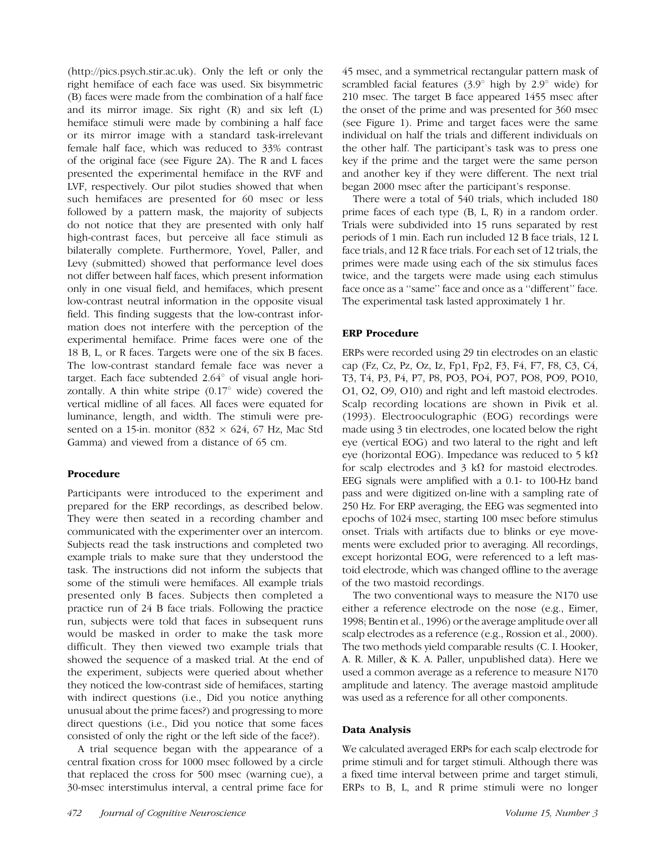(http://pics.psych.stir.ac.uk). Only the left or only the right hemiface of each face was used. Six bisymmetric (B) faces were made from the combination of a half face and its mirror image. Six right (R) and six left (L) hemiface stimuli were made by combining a half face or its mirror image with a standard task-irrelevant female half face, which was reduced to 33% contrast of the original face (see Figure 2A). The R and L faces presented the experimental hemiface in the RVF and LVF, respectively. Our pilot studies showed that when such hemifaces are presented for 60 msec or less followed by a pattern mask, the majority of subjects do not notice that they are presented with only half high-contrast faces, but perceive all face stimuli as bilaterally complete. Furthermore, Yovel, Paller, and Levy (submitted) showed that performance level does not differ between half faces, which present information only in one visual field, and hemifaces, which present low-contrast neutral information in the opposite visual field. This finding suggests that the low-contrast information does not interfere with the perception of the experimental hemiface. Prime faces were one of the 18 B, L, or R faces. Targets were one of the six B faces. The low-contrast standard female face was never a target. Each face subtended  $2.64^{\circ}$  of visual angle horizontally. A thin white stripe  $(0.17^{\circ}$  wide) covered the vertical midline of all faces. All faces were equated for luminance, length, and width. The stimuli were presented on a 15-in. monitor (832  $\times$  624, 67 Hz, Mac Std Gamma) and viewed from a distance of 65 cm.

# Procedure

Participants were introduced to the experiment and prepared for the ERP recordings, as described below. They were then seated in a recording chamber and communicated with the experimenter over an intercom. Subjects read the task instructions and completed two example trials to make sure that they understood the task. The instructions did not inform the subjects that some of the stimuli were hemifaces. All example trials presented only B faces. Subjects then completed a practice run of 24 B face trials. Following the practice run, subjects were told that faces in subsequent runs would be masked in order to make the task more difficult. They then viewed two example trials that showed the sequence of a masked trial. At the end of the experiment, subjects were queried about whether they noticed the low-contrast side of hemifaces, starting with indirect questions (i.e., Did you notice anything unusual about the prime faces?) and progressing to more direct questions (i.e., Did you notice that some faces consisted of only the right or the left side of the face?).

A trial sequence began with the appearance of a central fixation cross for 1000 msec followed by a circle that replaced the cross for 500 msec (warning cue), a 30-msec interstimulus interval, a central prime face for

45 msec, and a symmetrical rectangular pattern mask of scrambled facial features  $(3.9^{\circ}$  high by  $2.9^{\circ}$  wide) for 210 msec. The target B face appeared 1455 msec after the onset of the prime and was presented for 360 msec (see Figure 1). Prime and target faces were the same individual on half the trials and different individuals on the other half. The participant's task was to press one key if the prime and the target were the same person and another key if they were different. The next trial began 2000 msec after the participant's response.

There were a total of 540 trials, which included 180 prime faces of each type (B, L, R) in a random order. Trials were subdivided into 15 runs separated by rest periods of 1 min. Each run included 12 B face trials, 12 L face trials, and 12 R face trials. For each set of 12 trials, the primes were made using each of the six stimulus faces twice, and the targets were made using each stimulus face once as a ''same'' face and once as a ''different'' face. The experimental task lasted approximately 1 hr.

# ERP Procedure

ERPs were recorded using 29 tin electrodes on an elastic cap (Fz, Cz, Pz, Oz, Iz, Fp1, Fp2, F3, F4, F7, F8, C3, C4, T3, T4, P3, P4, P7, P8, PO3, PO4, PO7, PO8, PO9, PO10, O1, O2, O9, O10) and right and left mastoid electrodes. Scalp recording locations are shown in Pivik et al. (1993). Electrooculographic (EOG) recordings were made using 3 tin electrodes, one located below the right eye (vertical EOG) and two lateral to the right and left eye (horizontal EOG). Impedance was reduced to 5 k $\Omega$ for scalp electrodes and  $3 \text{ k}\Omega$  for mastoid electrodes. EEG signals were amplified with a 0.1- to 100-Hz band pass and were digitized on-line with a sampling rate of 250 Hz. For ERP averaging, the EEG was segmented into epochs of 1024 msec, starting 100 msec before stimulus onset. Trials with artifacts due to blinks or eye movements were excluded prior to averaging. All recordings, except horizontal EOG, were referenced to a left mastoid electrode, which was changed offline to the average of the two mastoid recordings.

The two conventional ways to measure the N170 use either a reference electrode on the nose (e.g., Eimer, 1998; Bentin et al., 1996) or the average amplitude over all scalp electrodes as a reference (e.g., Rossion et al., 2000). The two methods yield comparable results (C. I. Hooker, A. R. Miller, & K. A. Paller, unpublished data). Here we used a common average as a reference to measure N170 amplitude and latency. The average mastoid amplitude was used as a reference for all other components.

# Data Analysis

We calculated averaged ERPs for each scalp electrode for prime stimuli and for target stimuli. Although there was a fixed time interval between prime and target stimuli, ERPs to B, L, and R prime stimuli were no longer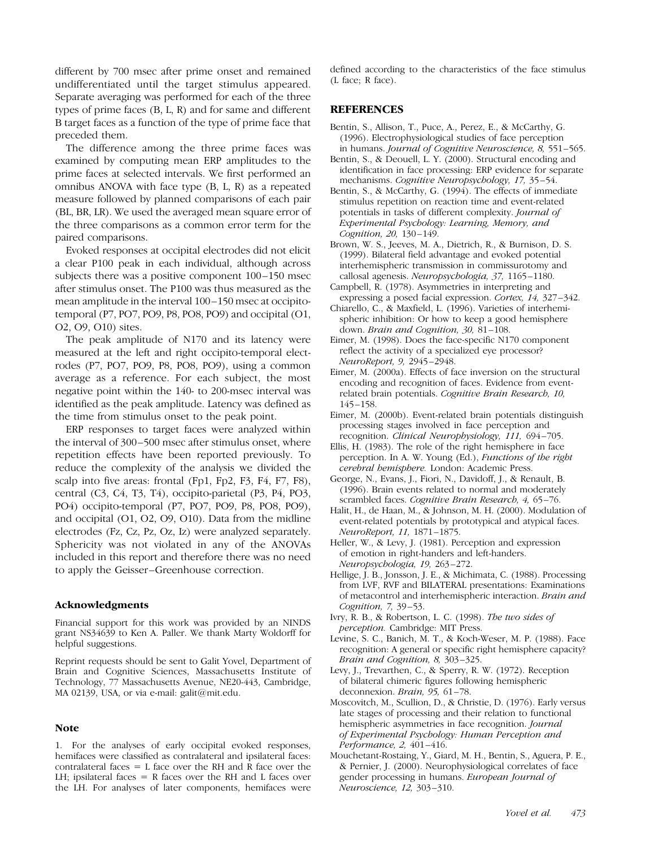different by 700 msec after prime onset and remained undifferentiated until the target stimulus appeared. Separate averaging was performed for each of the three types of prime faces (B, L, R) and for same and different B target faces as a function of the type of prime face that preceded them.

The difference among the three prime faces was examined by computing mean ERP amplitudes to the prime faces at selected intervals. We first performed an omnibus ANOVA with face type (B, L, R) as a repeated measure followed by planned comparisons of each pair (BL, BR, LR). We used the averaged mean square error of the three comparisons as a common error term for the paired comparisons.

Evoked responses at occipital electrodes did not elicit a clear P100 peak in each individual, although across subjects there was a positive component 100–150 msec after stimulus onset. The P100 was thus measured as the mean amplitude in the interval 100–150 msec at occipitotemporal (P7, PO7, PO9, P8, PO8, PO9) and occipital (O1, O2, O9, O10) sites.

The peak amplitude of N170 and its latency were measured at the left and right occipito-temporal electrodes (P7, PO7, PO9, P8, PO8, PO9), using a common average as a reference. For each subject, the most negative point within the 140- to 200-msec interval was identified as the peak amplitude. Latency was defined as the time from stimulus onset to the peak point.

ERP responses to target faces were analyzed within the interval of 300–500 msec after stimulus onset, where repetition effects have been reported previously. To reduce the complexity of the analysis we divided the scalp into five areas: frontal (Fp1, Fp2, F3, F4, F7, F8), central (C3, C4, T3, T4), occipito-parietal (P3, P4, PO3, PO4) occipito-temporal (P7, PO7, PO9, P8, PO8, PO9), and occipital (O1, O2, O9, O10). Data from the midline electrodes (Fz, Cz, Pz, Oz, Iz) were analyzed separately. Sphericity was not violated in any of the ANOVAs included in this report and therefore there was no need to apply the Geisser–Greenhouse correction.

#### Acknowledgments

Financial support for this work was provided by an NINDS grant NS34639 to Ken A. Paller. We thank Marty Woldorff for helpful suggestions.

Reprint requests should be sent to Galit Yovel, Department of Brain and Cognitive Sciences, Massachusetts Institute of Technology, 77 Massachusetts Avenue, NE20-443, Cambridge, MA 02139, USA, or via e-mail: galit@mit.edu.

#### Note

1. For the analyses of early occipital evoked responses, hemifaces were classified as contralateral and ipsilateral faces: contralateral faces  $= L$  face over the RH and R face over the LH; ipsilateral faces = R faces over the RH and L faces over the LH. For analyses of later components, hemifaces were defined according to the characteristics of the face stimulus (L face; R face).

#### REFERENCES

- Bentin, S., Allison, T., Puce, A., Perez, E., & McCarthy, G. (1996). Electrophysiological studies of face perception in humans. Journal of Cognitive Neuroscience, 8, 551–565.
- Bentin, S., & Deouell, L. Y. (2000). Structural encoding and identification in face processing: ERP evidence for separate mechanisms. Cognitive Neuropsychology, 17, 35–54.
- Bentin, S., & McCarthy, G. (1994). The effects of immediate stimulus repetition on reaction time and event-related potentials in tasks of different complexity. Journal of Experimental Psychology: Learning, Memory, and Cognition, 20, 130–149.

Brown, W. S., Jeeves, M. A., Dietrich, R., & Burnison, D. S. (1999). Bilateral field advantage and evoked potential interhemispheric transmission in commissurotomy and callosal agenesis. Neuropsychologia, 37, 1165–1180.

- Campbell, R. (1978). Asymmetries in interpreting and expressing a posed facial expression. Cortex, 14, 327–342.
- Chiarello, C., & Maxfield, L. (1996). Varieties of interhemispheric inhibition: Or how to keep a good hemisphere down. Brain and Cognition, 30, 81-108.
- Eimer, M. (1998). Does the face-specific N170 component reflect the activity of a specialized eye processor? NeuroReport, 9, 2945–2948.

Eimer, M. (2000a). Effects of face inversion on the structural encoding and recognition of faces. Evidence from eventrelated brain potentials. Cognitive Brain Research, 10, 145–158.

- Eimer, M. (2000b). Event-related brain potentials distinguish processing stages involved in face perception and recognition. Clinical Neurophysiology, 111, 694–705.
- Ellis, H. (1983). The role of the right hemisphere in face perception. In A. W. Young (Ed.), Functions of the right cerebral hemisphere. London: Academic Press.
- George, N., Evans, J., Fiori, N., Davidoff, J., & Renault, B. (1996). Brain events related to normal and moderately scrambled faces. Cognitive Brain Research, 4, 65-76.
- Halit, H., de Haan, M., & Johnson, M. H. (2000). Modulation of event-related potentials by prototypical and atypical faces. NeuroReport, 11, 1871–1875.
- Heller, W., & Levy, J. (1981). Perception and expression of emotion in right-handers and left-handers. Neuropsychologia, 19, 263–272.
- Hellige, J. B., Jonsson, J. E., & Michimata, C. (1988). Processing from LVF, RVF and BILATERAL presentations: Examinations of metacontrol and interhemispheric interaction. Brain and Cognition, 7, 39–53.
- Ivry, R. B., & Robertson, L. C. (1998). The two sides of perception. Cambridge: MIT Press.
- Levine, S. C., Banich, M. T., & Koch-Weser, M. P. (1988). Face recognition: A general or specific right hemisphere capacity? Brain and Cognition, 8, 303–325.
- Levy, J., Trevarthen, C., & Sperry, R. W. (1972). Reception of bilateral chimeric figures following hemispheric deconnexion. Brain, 95, 61–78.
- Moscovitch, M., Scullion, D., & Christie, D. (1976). Early versus late stages of processing and their relation to functional hemispheric asymmetries in face recognition. Journal of Experimental Psychology: Human Perception and Performance, 2, 401–416.
- Mouchetant-Rostaing, Y., Giard, M. H., Bentin, S., Aguera, P. E., & Pernier, J. (2000). Neurophysiological correlates of face gender processing in humans. European Journal of Neuroscience, 12, 303–310.